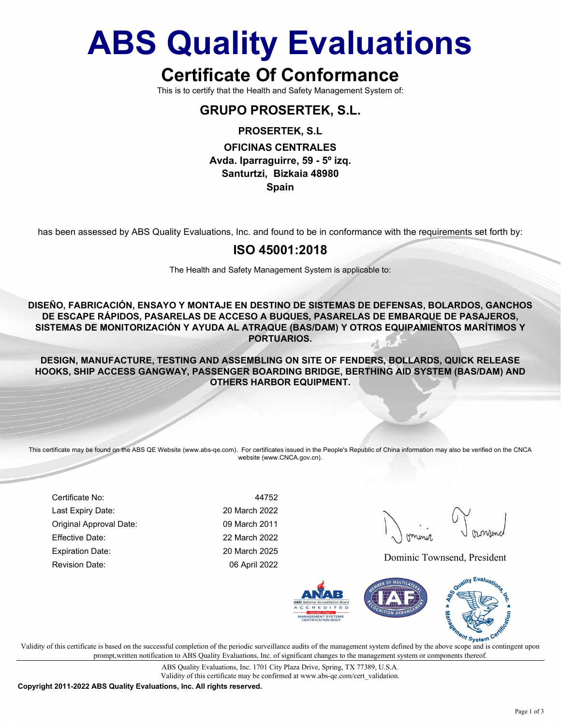## ABS Quality Evaluations

## Certificate Of Conformance

This is to certify that the Health and Safety Management System of:

#### GRUPO PROSERTEK, S.L.

PROSERTEK, S.L

OFICINAS CENTRALES Avda. Iparraguirre, 59 - 5º izq. Santurtzi, Bizkaia 48980

Spain

has been assessed by ABS Quality Evaluations, Inc. and found to be in conformance with the requirements set forth by:

#### ISO 45001:2018

The Health and Safety Management System is applicable to:

DISEÑO, FABRICACIÓN, ENSAYO Y MONTAJE EN DESTINO DE SISTEMAS DE DEFENSAS, BOLARDOS, GANCHOS DE ESCAPE RÁPIDOS, PASARELAS DE ACCESO A BUQUES, PASARELAS DE EMBARQUE DE PASAJEROS, SISTEMAS DE MONITORIZACIÓN Y AYUDA AL ATRAQUE (BAS/DAM) Y OTROS EQUIPAMIENTOS MARÍTIMOS Y PORTUARIOS.

DESIGN, MANUFACTURE, TESTING AND ASSEMBLING ON SITE OF FENDERS, BOLLARDS, QUICK RELEASE HOOKS, SHIP ACCESS GANGWAY, PASSENGER BOARDING BRIDGE, BERTHING AID SYSTEM (BAS/DAM) AND OTHERS HARBOR EQUIPMENT.

This certificate may be found on the ABS QE Website (www.abs-qe.com). For certificates issued in the People's Republic of China information may also be verified on the CNCA website (www.CNCA.gov.cn).

Certificate No: 44752 Last Expiry Date: 20 March 2022 Original Approval Date: 09 March 2011 Effective Date: 22 March 2022 Expiration Date: 20 March 2025

Revision Date: 06 April 2022 Dominic Townsend, President



 $\mathbf{v}$  validity of this certificate is based on the successful completion of the periodic surveillance audits of the management system defined by the above scope and is contingent upon V prompt,written notification to ABS Quality Evaluations, Inc. of significant changes to the management system or components thereof.

> ABS Quality Evaluations, Inc. 1701 City Plaza Drive, Spring, TX 77389, U.S.A. Validity of this certificate may be confirmed at www.abs-qe.com/cert\_validation.

Copyright 2011-2022 ABS Quality Evaluations, Inc. All rights reserved.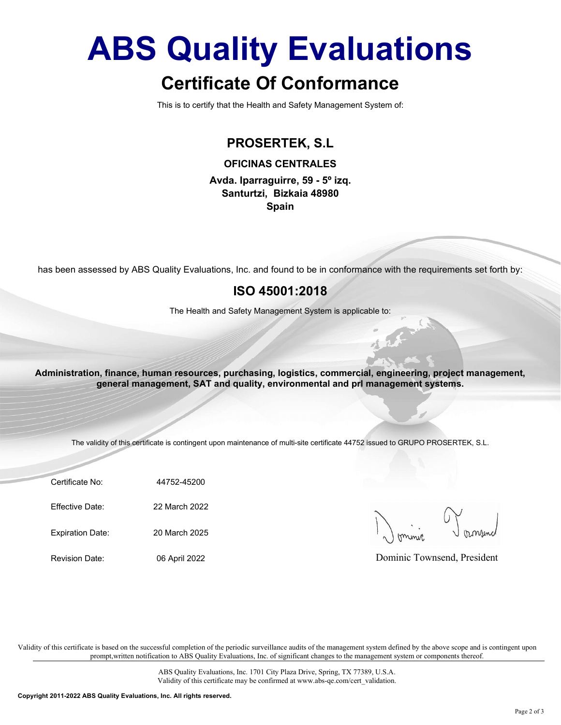# ABS Quality Evaluations

### Certificate Of Conformance

This is to certify that the Health and Safety Management System of:

#### PROSERTEK, S.L

OFICINAS CENTRALES

Avda. Iparraguirre, 59 - 5º izq. Santurtzi, Bizkaia 48980 Spain

has been assessed by ABS Quality Evaluations, Inc. and found to be in conformance with the requirements set forth by:

#### ISO 45001:2018

The Health and Safety Management System is applicable to:

been assessed by ABS Quality Evaluations, Inc. and found to be in conformance with the requirem<br>
ISO 45001:2018<br>
The Health and Safety Management System is applicable to:<br>
ministration, finance, human resources, purchasing The Health and Safety Management System is applicable to:<br>
Ininistration, finance, human resources, purchasing, logistics, commercial, engineering, proje<br>
general management, SAT and quality, environmental and pri manageme ministration, finance, human resources, purchasing, logistics, commercial, engineering, proje<br>
general management, SAT and quality, environmental and pri management system<br>
The validity of this certificate is contingent up Administration, finance, human resources, purchasing, logistics, commercial, engineering, project management, general management, SAT and quality, environmental and prl management systems.

The validity of this certificate is contingent upon maintenance of multi-site certificate 44752 issued to GRUPO PROSERTEK, S.L.

Certificate No: 44752-45200

Dominic Townsend, President

Validity of this certificate is based on the successful completion of the periodic surveillance audits of the management system defined by the above scope and is contingent upon prompt,written notification to ABS Quality Evaluations, Inc. of significant changes to the management system or components thereof.

> ABS Quality Evaluations, Inc. 1701 City Plaza Drive, Spring, TX 77389, U.S.A. Validity of this certificate may be confirmed at www.abs-qe.com/cert\_validation.